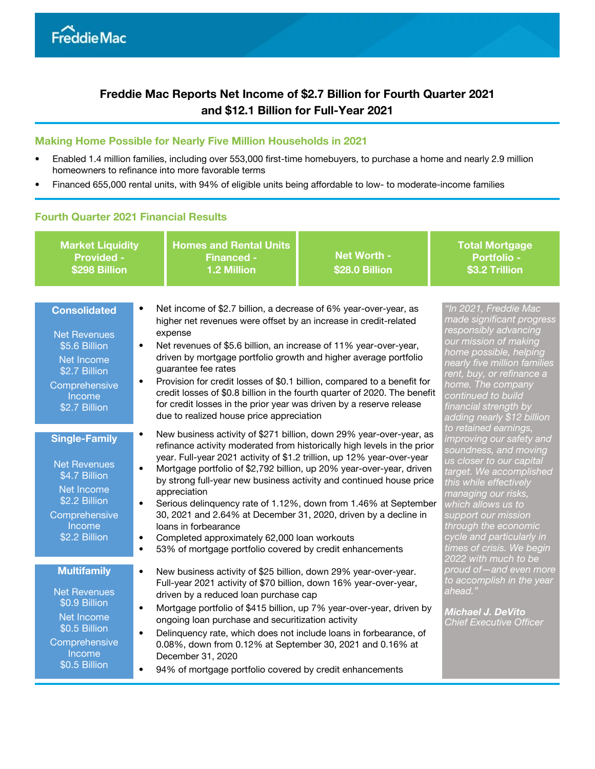# Freddie Mac Reports Net Income of \$2.7 Billion for Fourth Quarter 2021 and \$12.1 Billion for Full-Year 2021

#### Making Home Possible for Nearly Five Million Households in 2021

- Enabled 1.4 million families, including over 553,000 first-time homebuyers, to purchase a home and nearly 2.9 million homeowners to refinance into more favorable terms
- Financed 655,000 rental units, with 94% of eligible units being affordable to low- to moderate-income families

## Fourth Quarter 2021 Financial Results

| <b>Market Liquidity</b><br><b>Provided -</b><br>\$298 Billion                                                                                                                 | <b>Homes and Rental Units</b><br><b>Financed -</b><br>1.2 Million                                                                                                                                                                                                                                                                                                                                                                                                                                                                                                                                                                                                 | Net Worth -<br>\$28.0 Billion                                                                                                                                                                                                                                                                                                             |                                                                                                                       |  |  |
|-------------------------------------------------------------------------------------------------------------------------------------------------------------------------------|-------------------------------------------------------------------------------------------------------------------------------------------------------------------------------------------------------------------------------------------------------------------------------------------------------------------------------------------------------------------------------------------------------------------------------------------------------------------------------------------------------------------------------------------------------------------------------------------------------------------------------------------------------------------|-------------------------------------------------------------------------------------------------------------------------------------------------------------------------------------------------------------------------------------------------------------------------------------------------------------------------------------------|-----------------------------------------------------------------------------------------------------------------------|--|--|
| <b>Consolidated</b><br>$\bullet$<br><b>Net Revenues</b><br>\$5.6 Billion<br>$\bullet$<br>Net Income<br>\$2.7 Billion<br>$\bullet$<br>Comprehensive<br>Income<br>\$2.7 Billion | Net income of \$2.7 billion, a decrease of 6% year-over-year, as<br>higher net revenues were offset by an increase in credit-related<br>expense<br>Net revenues of \$5.6 billion, an increase of 11% year-over-year,<br>driven by mortgage portfolio growth and higher average portfolio<br>guarantee fee rates<br>Provision for credit losses of \$0.1 billion, compared to a benefit for<br>credit losses of \$0.8 billion in the fourth quarter of 2020. The benefit<br>for credit losses in the prior year was driven by a reserve release<br>due to realized house price appreciation                                                                        | <u>"In 2021, Freddie Mac</u><br>made significant progress<br>responsibly advancing<br>our mission of making<br>home possible, helping<br>nearly five million families<br>rent, buy, or refinance a<br>home. The company<br>continued to build<br>financial strength by<br>adding nearly \$12 billion                                      |                                                                                                                       |  |  |
| <b>Single-Family</b><br><b>Net Revenues</b><br>\$4.7 Billion<br>Net Income<br>\$2.2 Billion<br>Comprehensive<br>Income<br>\$2.2 Billion<br>$\bullet$                          | New business activity of \$271 billion, down 29% year-over-year, as<br>refinance activity moderated from historically high levels in the prior<br>year. Full-year 2021 activity of \$1.2 trillion, up 12% year-over-year<br>Mortgage portfolio of \$2,792 billion, up 20% year-over-year, driven<br>by strong full-year new business activity and continued house price<br>appreciation<br>Serious delinquency rate of 1.12%, down from 1.46% at September<br>30, 2021 and 2.64% at December 31, 2020, driven by a decline in<br>loans in forbearance<br>Completed approximately 62,000 loan workouts<br>53% of mortgage portfolio covered by credit enhancements | to retained earnings,<br>improving our safety and<br>soundness, and moving<br>us closer to our capital<br>target. We accomplished<br>this while effectively<br>managing our risks,<br>which allows us to<br>support our mission<br>through the economic<br>cycle and particularly in<br>times of crisis. We begin<br>2022 with much to be |                                                                                                                       |  |  |
| <b>Multifamily</b><br>$\bullet$<br><b>Net Revenues</b><br>\$0.9 Billion<br>Net Income<br>\$0.5 Billion<br>Comprehensive<br>Income<br>\$0.5 Billion                            | New business activity of \$25 billion, down 29% year-over-year.<br>Full-year 2021 activity of \$70 billion, down 16% year-over-year,<br>driven by a reduced loan purchase cap<br>Mortgage portfolio of \$415 billion, up 7% year-over-year, driven by<br>ongoing loan purchase and securitization activity<br>Delinquency rate, which does not include loans in forbearance, of<br>0.08%, down from 0.12% at September 30, 2021 and 0.16% at<br>December 31, 2020<br>94% of mortgage portfolio covered by credit enhancements                                                                                                                                     |                                                                                                                                                                                                                                                                                                                                           | proud of-and even more<br>to accomplish in the year<br>ahead."<br>Michael J. DeVito<br><b>Chief Executive Officer</b> |  |  |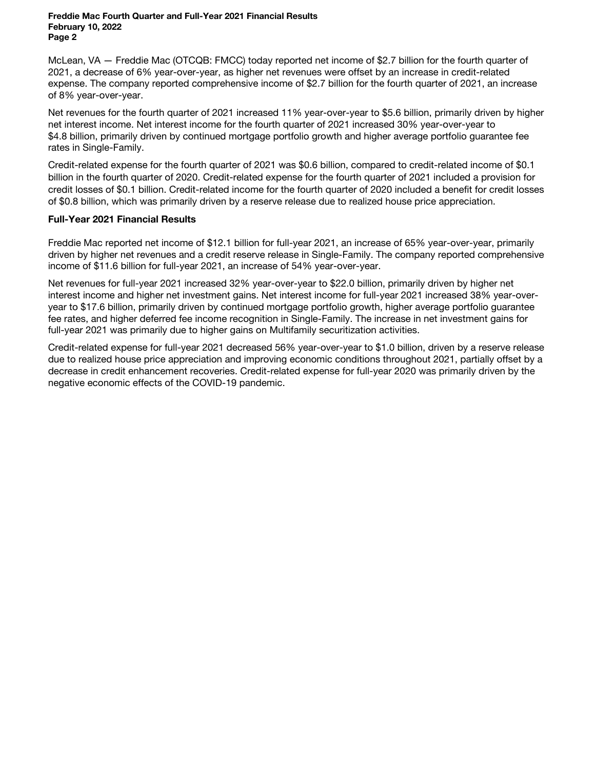McLean, VA — Freddie Mac (OTCQB: FMCC) today reported net income of \$2.7 billion for the fourth quarter of 2021, a decrease of 6% year-over-year, as higher net revenues were offset by an increase in credit-related expense. The company reported comprehensive income of \$2.7 billion for the fourth quarter of 2021, an increase of 8% year-over-year.

Net revenues for the fourth quarter of 2021 increased 11% year-over-year to \$5.6 billion, primarily driven by higher net interest income. Net interest income for the fourth quarter of 2021 increased 30% year-over-year to \$4.8 billion, primarily driven by continued mortgage portfolio growth and higher average portfolio guarantee fee rates in Single-Family.

Credit-related expense for the fourth quarter of 2021 was \$0.6 billion, compared to credit-related income of \$0.1 billion in the fourth quarter of 2020. Credit-related expense for the fourth quarter of 2021 included a provision for credit losses of \$0.1 billion. Credit-related income for the fourth quarter of 2020 included a benefit for credit losses of \$0.8 billion, which was primarily driven by a reserve release due to realized house price appreciation.

#### Full-Year 2021 Financial Results

Freddie Mac reported net income of \$12.1 billion for full-year 2021, an increase of 65% year-over-year, primarily driven by higher net revenues and a credit reserve release in Single-Family. The company reported comprehensive income of \$11.6 billion for full-year 2021, an increase of 54% year-over-year.

Net revenues for full-year 2021 increased 32% year-over-year to \$22.0 billion, primarily driven by higher net interest income and higher net investment gains. Net interest income for full-year 2021 increased 38% year-overyear to \$17.6 billion, primarily driven by continued mortgage portfolio growth, higher average portfolio guarantee fee rates, and higher deferred fee income recognition in Single-Family. The increase in net investment gains for full-year 2021 was primarily due to higher gains on Multifamily securitization activities.

Credit-related expense for full-year 2021 decreased 56% year-over-year to \$1.0 billion, driven by a reserve release due to realized house price appreciation and improving economic conditions throughout 2021, partially offset by a decrease in credit enhancement recoveries. Credit-related expense for full-year 2020 was primarily driven by the negative economic effects of the COVID-19 pandemic.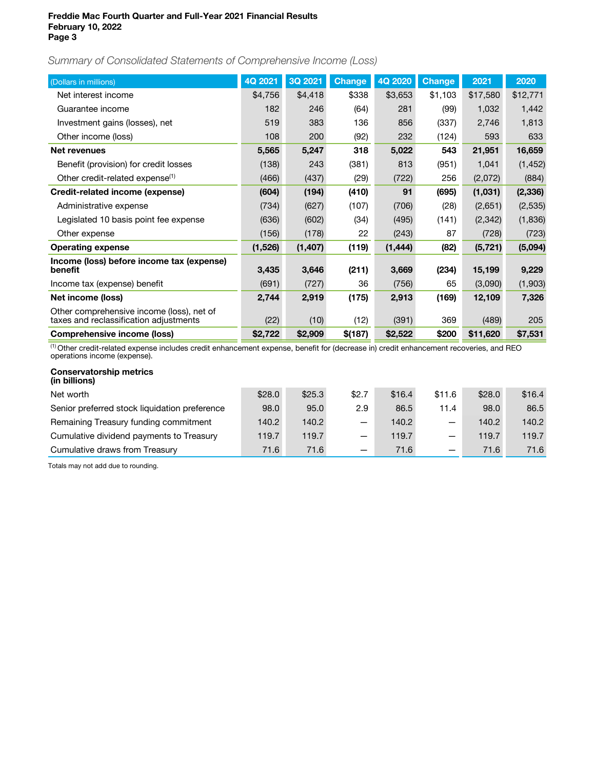Summary of Consolidated Statements of Comprehensive Income (Loss)

| (Dollars in millions)                                                               | 4Q 2021 | 3Q 2021  | <b>Change</b> | 4Q 2020  | <b>Change</b> | 2021     | 2020     |
|-------------------------------------------------------------------------------------|---------|----------|---------------|----------|---------------|----------|----------|
| Net interest income                                                                 | \$4,756 | \$4,418  | \$338         | \$3,653  | \$1,103       | \$17,580 | \$12,771 |
| Guarantee income                                                                    | 182     | 246      | (64)          | 281      | (99)          | 1,032    | 1,442    |
| Investment gains (losses), net                                                      | 519     | 383      | 136           | 856      | (337)         | 2,746    | 1,813    |
| Other income (loss)                                                                 | 108     | 200      | (92)          | 232      | (124)         | 593      | 633      |
| <b>Net revenues</b>                                                                 | 5,565   | 5,247    | 318           | 5,022    | 543           | 21,951   | 16,659   |
| Benefit (provision) for credit losses                                               | (138)   | 243      | (381)         | 813      | (951)         | 1,041    | (1, 452) |
| Other credit-related expense <sup>(1)</sup>                                         | (466)   | (437)    | (29)          | (722)    | 256           | (2,072)  | (884)    |
| Credit-related income (expense)                                                     | (604)   | (194)    | (410)         | 91       | (695)         | (1,031)  | (2, 336) |
| Administrative expense                                                              | (734)   | (627)    | (107)         | (706)    | (28)          | (2,651)  | (2,535)  |
| Legislated 10 basis point fee expense                                               | (636)   | (602)    | (34)          | (495)    | (141)         | (2,342)  | (1,836)  |
| Other expense                                                                       | (156)   | (178)    | 22            | (243)    | 87            | (728)    | (723)    |
| <b>Operating expense</b>                                                            | (1,526) | (1, 407) | (119)         | (1, 444) | (82)          | (5, 721) | (5,094)  |
| Income (loss) before income tax (expense)<br>benefit                                | 3,435   | 3,646    | (211)         | 3,669    | (234)         | 15,199   | 9,229    |
| Income tax (expense) benefit                                                        | (691)   | (727)    | 36            | (756)    | 65            | (3,090)  | (1,903)  |
| Net income (loss)                                                                   | 2,744   | 2,919    | (175)         | 2,913    | (169)         | 12,109   | 7,326    |
| Other comprehensive income (loss), net of<br>taxes and reclassification adjustments | (22)    | (10)     | (12)          | (391)    | 369           | (489)    | 205      |
| Comprehensive income (loss)                                                         | \$2,722 | \$2,909  | \$(187)       | \$2,522  | \$200         | \$11,620 | \$7,531  |

(1) Other credit-related expense includes credit enhancement expense, benefit for (decrease in) credit enhancement recoveries, and REO operations income (expense).

| \$28.0 | \$25.3 | \$2.7                    | \$16.4 | \$11.6                           | \$28.0 | \$16.4 |
|--------|--------|--------------------------|--------|----------------------------------|--------|--------|
| 98.0   | 95.0   | 2.9                      | 86.5   | 11.4                             | 98.0   | 86.5   |
| 140.2  | 140.2  | $\overline{\phantom{0}}$ | 140.2  |                                  | 140.2  | 140.2  |
| 119.7  | 119.7  | $\overline{\phantom{0}}$ | 119.7  | $\overbrace{\phantom{12322111}}$ | 119.7  | 119.7  |
| 71.6   | 71.6   |                          | 71.6   | $\qquad \qquad$                  | 71.6   | 71.6   |
|        |        |                          |        |                                  |        |        |

Totals may not add due to rounding.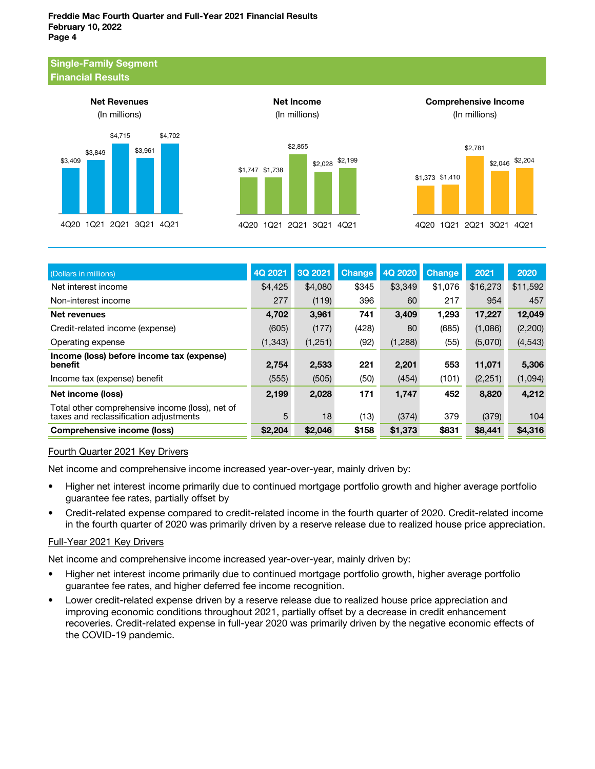#### Single-Family Segment Financial Results





Net Income



Comprehensive Income



| (Dollars in millions)                                                                     | 4Q 2021  | 3Q 2021 | <b>Change</b> | 4Q 2020  | <b>Change</b> | 2021     | 2020     |
|-------------------------------------------------------------------------------------------|----------|---------|---------------|----------|---------------|----------|----------|
| Net interest income                                                                       | \$4,425  | \$4,080 | \$345         | \$3,349  | \$1,076       | \$16,273 | \$11,592 |
| Non-interest income                                                                       | 277      | (119)   | 396           | 60       | 217           | 954      | 457      |
| Net revenues                                                                              | 4,702    | 3,961   | 741           | 3,409    | 1,293         | 17,227   | 12,049   |
| Credit-related income (expense)                                                           | (605)    | (177)   | (428)         | 80       | (685)         | (1,086)  | (2,200)  |
| Operating expense                                                                         | (1, 343) | (1,251) | (92)          | (1, 288) | (55)          | (5,070)  | (4, 543) |
| Income (loss) before income tax (expense)<br>benefit                                      | 2,754    | 2,533   | 221           | 2,201    | 553           | 11,071   | 5,306    |
| Income tax (expense) benefit                                                              | (555)    | (505)   | (50)          | (454)    | (101)         | (2,251)  | (1,094)  |
| Net income (loss)                                                                         | 2,199    | 2,028   | 171           | 1,747    | 452           | 8,820    | 4,212    |
| Total other comprehensive income (loss), net of<br>taxes and reclassification adjustments | 5        | 18      | (13)          | (374)    | 379           | (379)    | 104      |
| <b>Comprehensive income (loss)</b>                                                        | \$2,204  | \$2,046 | \$158         | \$1,373  | \$831         | \$8,441  | \$4,316  |

### Fourth Quarter 2021 Key Drivers

Net income and comprehensive income increased year-over-year, mainly driven by:

- Higher net interest income primarily due to continued mortgage portfolio growth and higher average portfolio guarantee fee rates, partially offset by
- Credit-related expense compared to credit-related income in the fourth quarter of 2020. Credit-related income in the fourth quarter of 2020 was primarily driven by a reserve release due to realized house price appreciation.

### Full-Year 2021 Key Drivers

Net income and comprehensive income increased year-over-year, mainly driven by:

- Higher net interest income primarily due to continued mortgage portfolio growth, higher average portfolio guarantee fee rates, and higher deferred fee income recognition.
- Lower credit-related expense driven by a reserve release due to realized house price appreciation and improving economic conditions throughout 2021, partially offset by a decrease in credit enhancement recoveries. Credit-related expense in full-year 2020 was primarily driven by the negative economic effects of the COVID-19 pandemic.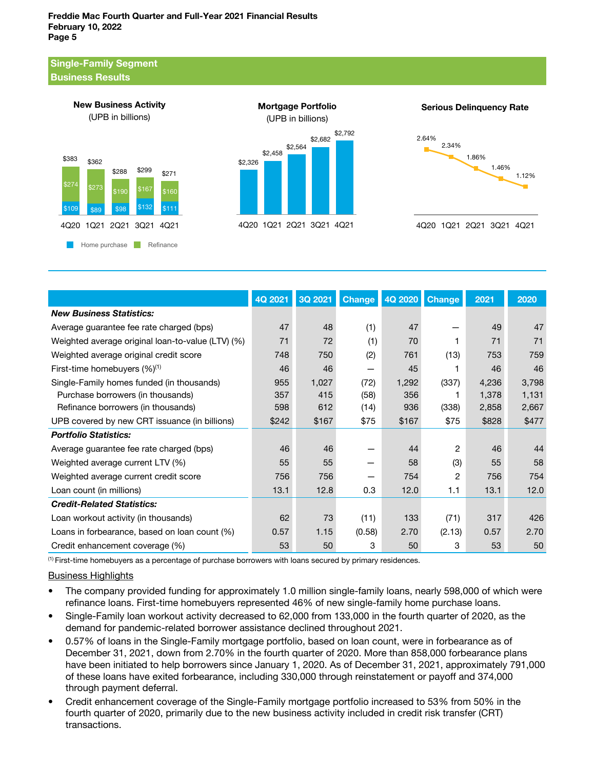#### Single-Family Segment Business Results





Serious Delinquency Rate



|                                                   | 4Q 2021 | 3Q 2021 | <b>Change</b> | 4Q 2020 | <b>Change</b> | 2021  | 2020  |
|---------------------------------------------------|---------|---------|---------------|---------|---------------|-------|-------|
| <b>New Business Statistics:</b>                   |         |         |               |         |               |       |       |
| Average guarantee fee rate charged (bps)          | 47      | 48      | (1)           | 47      |               | 49    | 47    |
| Weighted average original loan-to-value (LTV) (%) | 71      | 72      | (1)           | 70      |               | 71    | 71    |
| Weighted average original credit score            | 748     | 750     | (2)           | 761     | (13)          | 753   | 759   |
| First-time homebuyers $(\%)^{(1)}$                | 46      | 46      | -             | 45      |               | 46    | 46    |
| Single-Family homes funded (in thousands)         | 955     | 1,027   | (72)          | 1,292   | (337)         | 4,236 | 3,798 |
| Purchase borrowers (in thousands)                 | 357     | 415     | (58)          | 356     |               | 1,378 | 1,131 |
| Refinance borrowers (in thousands)                | 598     | 612     | (14)          | 936     | (338)         | 2,858 | 2,667 |
| UPB covered by new CRT issuance (in billions)     | \$242   | \$167   | \$75          | \$167   | \$75          | \$828 | \$477 |
| <b>Portfolio Statistics:</b>                      |         |         |               |         |               |       |       |
| Average guarantee fee rate charged (bps)          | 46      | 46      |               | 44      | 2             | 46    | 44    |
| Weighted average current LTV (%)                  | 55      | 55      |               | 58      | (3)           | 55    | 58    |
| Weighted average current credit score             | 756     | 756     |               | 754     | 2             | 756   | 754   |
| Loan count (in millions)                          | 13.1    | 12.8    | 0.3           | 12.0    | 1.1           | 13.1  | 12.0  |
| <b>Credit-Related Statistics:</b>                 |         |         |               |         |               |       |       |
| Loan workout activity (in thousands)              | 62      | 73      | (11)          | 133     | (71)          | 317   | 426   |
| Loans in forbearance, based on loan count (%)     | 0.57    | 1.15    | (0.58)        | 2.70    | (2.13)        | 0.57  | 2.70  |
| Credit enhancement coverage (%)                   | 53      | 50      | 3             | 50      | 3             | 53    | 50    |

 $<sup>(1)</sup>$  First-time homebuyers as a percentage of purchase borrowers with loans secured by primary residences.</sup>

Business Highlights

- The company provided funding for approximately 1.0 million single-family loans, nearly 598,000 of which were refinance loans. First-time homebuyers represented 46% of new single-family home purchase loans.
- Single-Family loan workout activity decreased to 62,000 from 133,000 in the fourth quarter of 2020, as the demand for pandemic-related borrower assistance declined throughout 2021.
- 0.57% of loans in the Single-Family mortgage portfolio, based on loan count, were in forbearance as of December 31, 2021, down from 2.70% in the fourth quarter of 2020. More than 858,000 forbearance plans have been initiated to help borrowers since January 1, 2020. As of December 31, 2021, approximately 791,000 of these loans have exited forbearance, including 330,000 through reinstatement or payoff and 374,000 through payment deferral.
- Credit enhancement coverage of the Single-Family mortgage portfolio increased to 53% from 50% in the fourth quarter of 2020, primarily due to the new business activity included in credit risk transfer (CRT) transactions.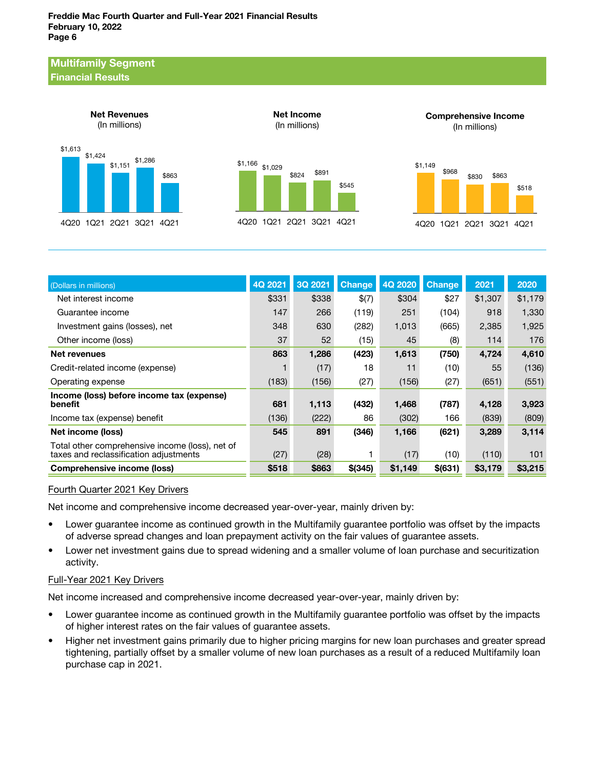#### Multifamily Segment Financial Results



| (Dollars in millions)                                                                     | 4Q 2021 | 3Q 2021 | <b>Change</b> | 4Q 2020 | <b>Change</b> | 2021    | 2020    |
|-------------------------------------------------------------------------------------------|---------|---------|---------------|---------|---------------|---------|---------|
| Net interest income                                                                       | \$331   | \$338   | \$(7)         | \$304   | \$27          | \$1,307 | \$1,179 |
| Guarantee income                                                                          | 147     | 266     | (119)         | 251     | (104)         | 918     | 1,330   |
| Investment gains (losses), net                                                            | 348     | 630     | (282)         | 1,013   | (665)         | 2,385   | 1,925   |
| Other income (loss)                                                                       | 37      | 52      | (15)          | 45      | (8)           | 114     | 176     |
| Net revenues                                                                              | 863     | 1,286   | (423)         | 1,613   | (750)         | 4,724   | 4,610   |
| Credit-related income (expense)                                                           |         | (17)    | 18            | 11      | (10)          | 55      | (136)   |
| Operating expense                                                                         | (183)   | (156)   | (27)          | (156)   | (27)          | (651)   | (551)   |
| Income (loss) before income tax (expense)<br>benefit                                      | 681     | 1,113   | (432)         | 1,468   | (787)         | 4,128   | 3,923   |
| Income tax (expense) benefit                                                              | (136)   | (222)   | 86            | (302)   | 166           | (839)   | (809)   |
| Net income (loss)                                                                         | 545     | 891     | (346)         | 1,166   | (621)         | 3,289   | 3,114   |
| Total other comprehensive income (loss), net of<br>taxes and reclassification adjustments | (27)    | (28)    |               | (17)    | (10)          | (110)   | 101     |
| <b>Comprehensive income (loss)</b>                                                        | \$518   | \$863   | $$$ (345)     | \$1,149 | \$ (631)      | \$3,179 | \$3,215 |

### Fourth Quarter 2021 Key Drivers

Net income and comprehensive income decreased year-over-year, mainly driven by:

- Lower guarantee income as continued growth in the Multifamily guarantee portfolio was offset by the impacts of adverse spread changes and loan prepayment activity on the fair values of guarantee assets.
- Lower net investment gains due to spread widening and a smaller volume of loan purchase and securitization activity.

### Full-Year 2021 Key Drivers

Net income increased and comprehensive income decreased year-over-year, mainly driven by:

- Lower guarantee income as continued growth in the Multifamily guarantee portfolio was offset by the impacts of higher interest rates on the fair values of guarantee assets.
- Higher net investment gains primarily due to higher pricing margins for new loan purchases and greater spread tightening, partially offset by a smaller volume of new loan purchases as a result of a reduced Multifamily loan purchase cap in 2021.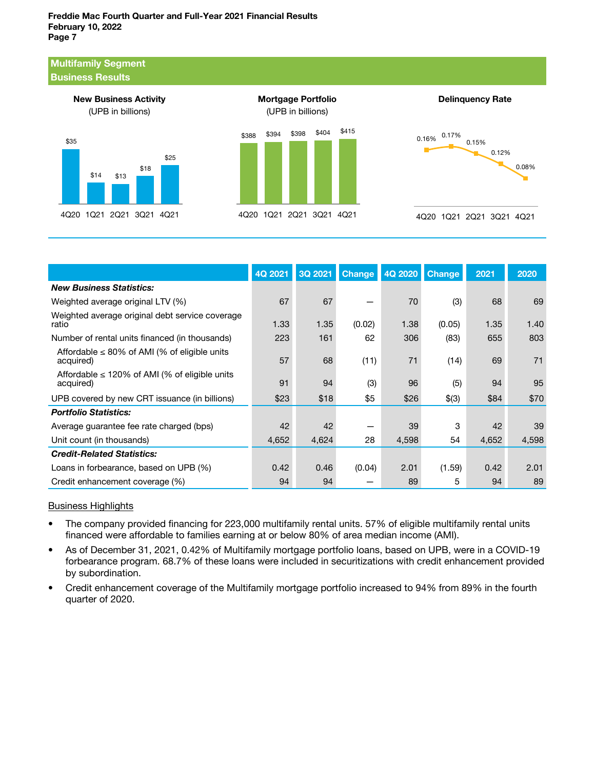#### Multifamily Segment Business Results







Delinquency Rate

|                                                                 | 4Q 2021 | 3Q 2021 | <b>Change</b> | 4Q 2020 | <b>Change</b> | 2021  | 2020  |
|-----------------------------------------------------------------|---------|---------|---------------|---------|---------------|-------|-------|
| <b>New Business Statistics:</b>                                 |         |         |               |         |               |       |       |
| Weighted average original LTV (%)                               | 67      | 67      |               | 70      | (3)           | 68    | 69    |
| Weighted average original debt service coverage<br>ratio        | 1.33    | 1.35    | (0.02)        | 1.38    | (0.05)        | 1.35  | 1.40  |
| Number of rental units financed (in thousands)                  | 223     | 161     | 62            | 306     | (83)          | 655   | 803   |
| Affordable $\leq 80\%$ of AMI (% of eligible units<br>acquired) | 57      | 68      | (11)          | 71      | (14)          | 69    | 71    |
| Affordable $\leq$ 120% of AMI (% of eligible units<br>acquired) | 91      | 94      | (3)           | 96      | (5)           | 94    | 95    |
| UPB covered by new CRT issuance (in billions)                   | \$23    | \$18    | \$5           | \$26    | \$(3)         | \$84  | \$70  |
| <b>Portfolio Statistics:</b>                                    |         |         |               |         |               |       |       |
| Average guarantee fee rate charged (bps)                        | 42      | 42      |               | 39      | 3             | 42    | 39    |
| Unit count (in thousands)                                       | 4,652   | 4,624   | 28            | 4,598   | 54            | 4,652 | 4,598 |
| <b>Credit-Related Statistics:</b>                               |         |         |               |         |               |       |       |
| Loans in forbearance, based on UPB (%)                          | 0.42    | 0.46    | (0.04)        | 2.01    | (1.59)        | 0.42  | 2.01  |
| Credit enhancement coverage (%)                                 | 94      | 94      |               | 89      | 5             | 94    | 89    |

#### Business Highlights

- The company provided financing for 223,000 multifamily rental units. 57% of eligible multifamily rental units financed were affordable to families earning at or below 80% of area median income (AMI).
- As of December 31, 2021, 0.42% of Multifamily mortgage portfolio loans, based on UPB, were in a COVID-19 forbearance program. 68.7% of these loans were included in securitizations with credit enhancement provided by subordination.
- Credit enhancement coverage of the Multifamily mortgage portfolio increased to 94% from 89% in the fourth quarter of 2020.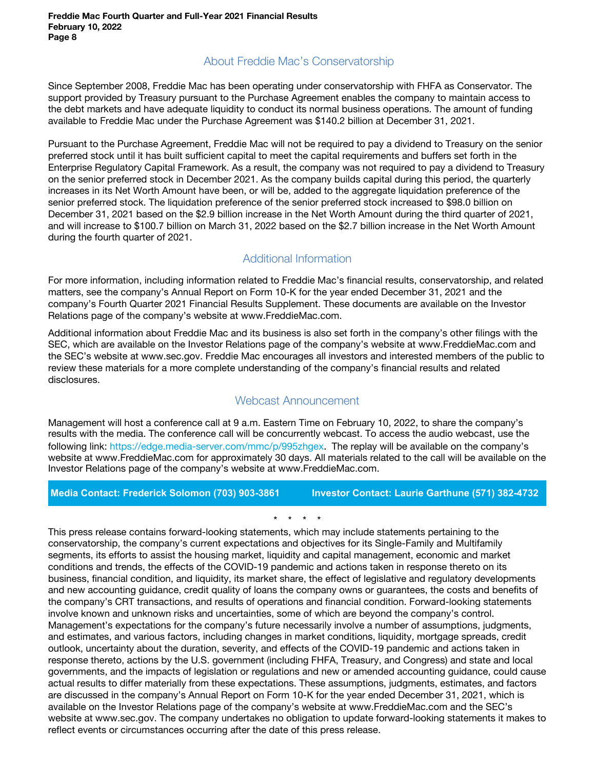# About Freddie Mac's Conservatorship

Since September 2008, Freddie Mac has been operating under conservatorship with FHFA as Conservator. The support provided by Treasury pursuant to the Purchase Agreement enables the company to maintain access to the debt markets and have adequate liquidity to conduct its normal business operations. The amount of funding available to Freddie Mac under the Purchase Agreement was \$140.2 billion at December 31, 2021.

Pursuant to the Purchase Agreement, Freddie Mac will not be required to pay a dividend to Treasury on the senior preferred stock until it has built sufficient capital to meet the capital requirements and buffers set forth in the Enterprise Regulatory Capital Framework. As a result, the company was not required to pay a dividend to Treasury on the senior preferred stock in December 2021. As the company builds capital during this period, the quarterly increases in its Net Worth Amount have been, or will be, added to the aggregate liquidation preference of the senior preferred stock. The liquidation preference of the senior preferred stock increased to \$98.0 billion on December 31, 2021 based on the \$2.9 billion increase in the Net Worth Amount during the third quarter of 2021, and will increase to \$100.7 billion on March 31, 2022 based on the \$2.7 billion increase in the Net Worth Amount during the fourth quarter of 2021.

# Additional Information

For more information, including information related to Freddie Mac's financial results, conservatorship, and related matters, see the company's Annual Report on Form 10-K for the year ended December 31, 2021 and the company's Fourth Quarter 2021 Financial Results Supplement. These documents are available on the Investor Relations page of the company's website at www.FreddieMac.com.

Additional information about Freddie Mac and its business is also set forth in the company's other filings with the SEC, which are available on the Investor Relations page of the company's website at www.FreddieMac.com and the SEC's website at www.sec.gov. Freddie Mac encourages all investors and interested members of the public to review these materials for a more complete understanding of the company's financial results and related disclosures.

## Webcast Announcement

Management will host a conference call at 9 a.m. Eastern Time on February 10, 2022, to share the company's results with the media. The conference call will be concurrently webcast. To access the audio webcast, use the following link: https://edge.media-server.com/mmc/p/995zhgex. The replay will be available on the company's website at www.FreddieMac.com for approximately 30 days. All materials related to the call will be available on the Investor Relations page of the company's website at www.FreddieMac.com.

### **Media Contact: Frederick Solomon (703) 903-3861 Investor Contact: Laurie Garthune (571) 382-4732**

\* \* \* \*

This press release contains forward-looking statements, which may include statements pertaining to the conservatorship, the company's current expectations and objectives for its Single-Family and Multifamily segments, its efforts to assist the housing market, liquidity and capital management, economic and market conditions and trends, the effects of the COVID-19 pandemic and actions taken in response thereto on its business, financial condition, and liquidity, its market share, the effect of legislative and regulatory developments and new accounting guidance, credit quality of loans the company owns or guarantees, the costs and benefits of the company's CRT transactions, and results of operations and financial condition. Forward-looking statements involve known and unknown risks and uncertainties, some of which are beyond the company's control. Management's expectations for the company's future necessarily involve a number of assumptions, judgments, and estimates, and various factors, including changes in market conditions, liquidity, mortgage spreads, credit outlook, uncertainty about the duration, severity, and effects of the COVID-19 pandemic and actions taken in response thereto, actions by the U.S. government (including FHFA, Treasury, and Congress) and state and local governments, and the impacts of legislation or regulations and new or amended accounting guidance, could cause actual results to differ materially from these expectations. These assumptions, judgments, estimates, and factors are discussed in the company's Annual Report on Form 10-K for the year ended December 31, 2021, which is available on the Investor Relations page of the company's website at www.FreddieMac.com and the SEC's website at www.sec.gov. The company undertakes no obligation to update forward-looking statements it makes to reflect events or circumstances occurring after the date of this press release.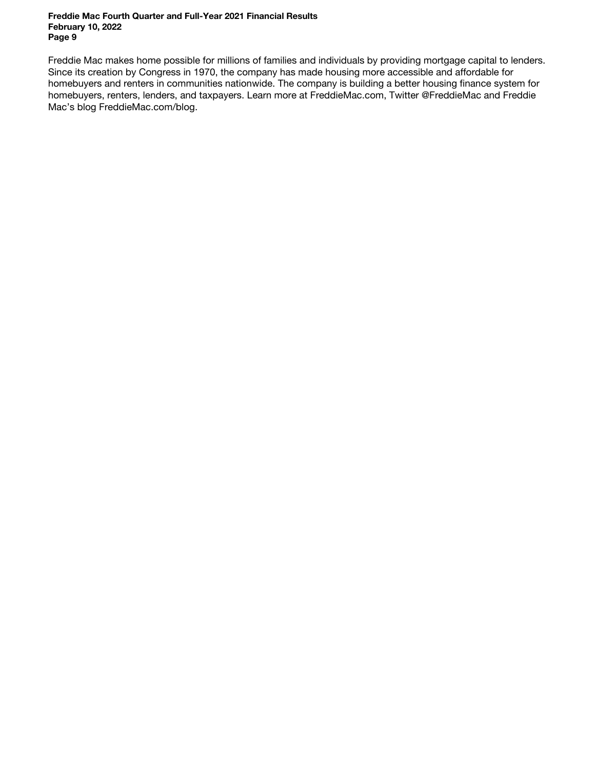Freddie Mac makes home possible for millions of families and individuals by providing mortgage capital to lenders. Since its creation by Congress in 1970, the company has made housing more accessible and affordable for homebuyers and renters in communities nationwide. The company is building a better housing finance system for homebuyers, renters, lenders, and taxpayers. Learn more at FreddieMac.com, Twitter @FreddieMac and Freddie Mac's blog FreddieMac.com/blog.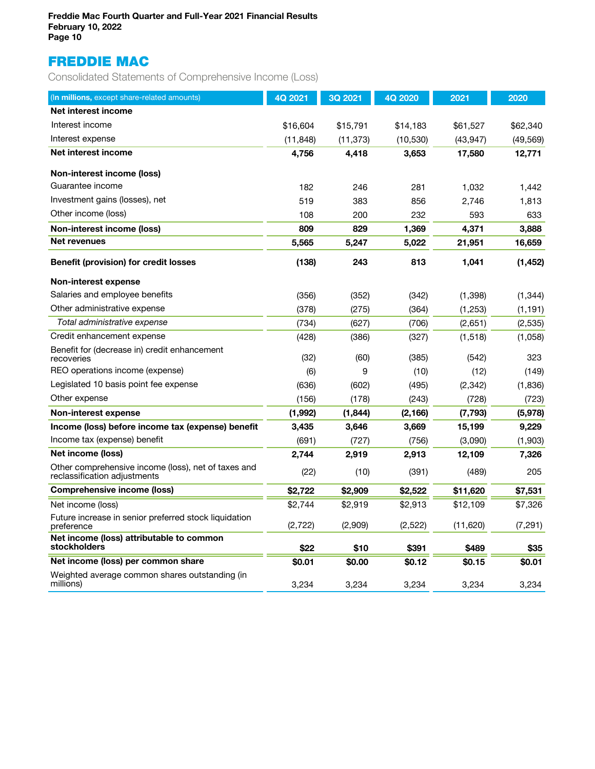# FREDDIE MAC

Consolidated Statements of Comprehensive Income (Loss)

| (In millions, except share-related amounts)                                         | 4Q 2021   | 3Q 2021   | 4Q 2020   | 2021      | 2020      |
|-------------------------------------------------------------------------------------|-----------|-----------|-----------|-----------|-----------|
| Net interest income                                                                 |           |           |           |           |           |
| Interest income                                                                     | \$16,604  | \$15,791  | \$14,183  | \$61,527  | \$62,340  |
| Interest expense                                                                    | (11, 848) | (11, 373) | (10, 530) | (43, 947) | (49, 569) |
| Net interest income                                                                 | 4,756     | 4,418     | 3,653     | 17,580    | 12,771    |
| Non-interest income (loss)                                                          |           |           |           |           |           |
| Guarantee income                                                                    | 182       | 246       | 281       | 1.032     | 1,442     |
| Investment gains (losses), net                                                      | 519       | 383       | 856       | 2,746     | 1,813     |
| Other income (loss)                                                                 | 108       | 200       | 232       | 593       | 633       |
| Non-interest income (loss)                                                          | 809       | 829       | 1,369     | 4,371     | 3,888     |
| Net revenues                                                                        | 5,565     | 5,247     | 5,022     | 21,951    | 16,659    |
| <b>Benefit (provision) for credit losses</b>                                        | (138)     | 243       | 813       | 1,041     | (1, 452)  |
| Non-interest expense                                                                |           |           |           |           |           |
| Salaries and employee benefits                                                      | (356)     | (352)     | (342)     | (1, 398)  | (1, 344)  |
| Other administrative expense                                                        | (378)     | (275)     | (364)     | (1,253)   | (1, 191)  |
| Total administrative expense                                                        | (734)     | (627)     | (706)     | (2,651)   | (2,535)   |
| Credit enhancement expense                                                          | (428)     | (386)     | (327)     | (1,518)   | (1,058)   |
| Benefit for (decrease in) credit enhancement<br>recoveries                          | (32)      | (60)      | (385)     | (542)     | 323       |
| REO operations income (expense)                                                     | (6)       | 9         | (10)      | (12)      | (149)     |
| Legislated 10 basis point fee expense                                               | (636)     | (602)     | (495)     | (2, 342)  | (1,836)   |
| Other expense                                                                       | (156)     | (178)     | (243)     | (728)     | (723)     |
| Non-interest expense                                                                | (1,992)   | (1, 844)  | (2, 166)  | (7, 793)  | (5,978)   |
| Income (loss) before income tax (expense) benefit                                   | 3,435     | 3,646     | 3,669     | 15,199    | 9,229     |
| Income tax (expense) benefit                                                        | (691)     | (727)     | (756)     | (3,090)   | (1,903)   |
| Net income (loss)                                                                   | 2,744     | 2,919     | 2,913     | 12,109    | 7,326     |
| Other comprehensive income (loss), net of taxes and<br>reclassification adjustments | (22)      | (10)      | (391)     | (489)     | 205       |
| Comprehensive income (loss)                                                         | \$2,722   | \$2,909   | \$2,522   | \$11,620  | \$7,531   |
| Net income (loss)                                                                   | \$2,744   | \$2,919   | \$2,913   | \$12,109  | \$7,326   |
| Future increase in senior preferred stock liquidation<br>preference                 | (2,722)   | (2,909)   | (2,522)   | (11, 620) | (7, 291)  |
| Net income (loss) attributable to common<br><b>stockholders</b>                     | \$22      | \$10      | \$391     | \$489     | \$35      |
| Net income (loss) per common share                                                  | \$0.01    | \$0.00    | \$0.12    | \$0.15    | \$0.01    |
| Weighted average common shares outstanding (in<br>millions)                         | 3,234     | 3,234     | 3,234     | 3,234     | 3,234     |